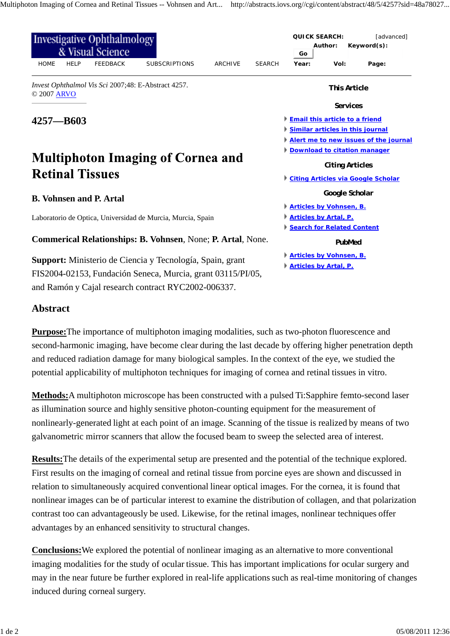| Investigative Ophthalmology<br>& Visual Science                                     |                      |                | <b>QUICK SEARCH:</b><br>[advanced]<br>Author:<br>Keyword(s):<br>Go        |                                |                 |       |                                           |  |  |
|-------------------------------------------------------------------------------------|----------------------|----------------|---------------------------------------------------------------------------|--------------------------------|-----------------|-------|-------------------------------------------|--|--|
| <b>HOME</b><br><b>HELP</b><br><b>FEEDBACK</b>                                       | <b>SUBSCRIPTIONS</b> | <b>ARCHIVE</b> | <b>SEARCH</b>                                                             | Year:                          | Vol:            | Page: |                                           |  |  |
| Invest Ophthalmol Vis Sci 2007;48: E-Abstract 4257.<br>© 2007 ARVO                  |                      |                |                                                                           | <b>This Article</b>            |                 |       |                                           |  |  |
|                                                                                     |                      |                |                                                                           |                                | <b>Services</b> |       |                                           |  |  |
| $4257 - B603$<br><b>Multiphoton Imaging of Cornea and</b><br><b>Retinal Tissues</b> |                      |                | <b>Email this article to a friend</b><br>Similar articles in this journal |                                |                 |       |                                           |  |  |
|                                                                                     |                      |                |                                                                           |                                |                 |       | Alert me to new issues of the journal     |  |  |
|                                                                                     |                      |                | <b>Download to citation manager</b><br><b>Citing Articles</b>             |                                |                 |       |                                           |  |  |
|                                                                                     |                      |                |                                                                           |                                |                 |       | <b>Citing Articles via Google Scholar</b> |  |  |
|                                                                                     |                      |                | <b>B. Vohnsen and P. Artal</b>                                            |                                |                 |       | Google Scholar                            |  |  |
|                                                                                     |                      |                |                                                                           |                                |                 |       | <b>Articles by Vohnsen, B.</b>            |  |  |
| Laboratorio de Optica, Universidad de Murcia, Murcia, Spain                         |                      |                |                                                                           | <b>Articles by Artal, P.</b>   |                 |       |                                           |  |  |
|                                                                                     |                      |                |                                                                           | Search for Related Content     |                 |       |                                           |  |  |
| <b>Commerical Relationships: B. Vohnsen, None; P. Artal, None.</b>                  |                      |                |                                                                           | PubMed                         |                 |       |                                           |  |  |
| Support: Ministerio de Ciencia y Tecnología, Spain, grant                           |                      |                |                                                                           | <b>Articles by Vohnsen, B.</b> |                 |       |                                           |  |  |
|                                                                                     |                      |                |                                                                           | <b>Articles by Artal, P.</b>   |                 |       |                                           |  |  |
| FIS2004-02153, Fundación Seneca, Murcia, grant 03115/PI/05,                         |                      |                |                                                                           |                                |                 |       |                                           |  |  |
| and Ramón y Cajal research contract RYC2002-006337.                                 |                      |                |                                                                           |                                |                 |       |                                           |  |  |

## **Abstract**

**Purpose:**The importance of multiphoton imaging modalities, such as two-photon fluorescence and second-harmonic imaging, have become clear during the last decade by offering higher penetration depth and reduced radiation damage for many biological samples. In the context of the eye, we studied the potential applicability of multiphoton techniques for imaging of cornea and retinal tissues in vitro.

**Methods:**A multiphoton microscope has been constructed with a pulsed Ti:Sapphire femto-second laser as illumination source and highly sensitive photon-counting equipment for the measurement of nonlinearly-generated light at each point of an image. Scanning of the tissue is realized by means of two galvanometric mirror scanners that allow the focused beam to sweep the selected area of interest.

**Results:**The details of the experimental setup are presented and the potential of the technique explored. First results on the imaging of corneal and retinal tissue from porcine eyes are shown and discussed in relation to simultaneously acquired conventional linear optical images. For the cornea, it is found that nonlinear images can be of particular interest to examine the distribution of collagen, and that polarization contrast too can advantageously be used. Likewise, for the retinal images, nonlinear techniques offer advantages by an enhanced sensitivity to structural changes.

**Conclusions:**We explored the potential of nonlinear imaging as an alternative to more conventional imaging modalities for the study of ocular tissue. This has important implications for ocular surgery and may in the near future be further explored in real-life applications such as real-time monitoring of changes induced during corneal surgery.